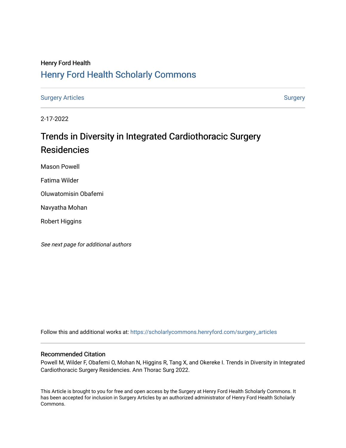## Henry Ford Health [Henry Ford Health Scholarly Commons](https://scholarlycommons.henryford.com/)

[Surgery Articles](https://scholarlycommons.henryford.com/surgery_articles) **[Surgery](https://scholarlycommons.henryford.com/surgery) Articles** Surgery

2-17-2022

# Trends in Diversity in Integrated Cardiothoracic Surgery Residencies

Mason Powell Fatima Wilder

Oluwatomisin Obafemi

Navyatha Mohan

Robert Higgins

See next page for additional authors

Follow this and additional works at: [https://scholarlycommons.henryford.com/surgery\\_articles](https://scholarlycommons.henryford.com/surgery_articles?utm_source=scholarlycommons.henryford.com%2Fsurgery_articles%2F560&utm_medium=PDF&utm_campaign=PDFCoverPages)

### Recommended Citation

Powell M, Wilder F, Obafemi O, Mohan N, Higgins R, Tang X, and Okereke I. Trends in Diversity in Integrated Cardiothoracic Surgery Residencies. Ann Thorac Surg 2022.

This Article is brought to you for free and open access by the Surgery at Henry Ford Health Scholarly Commons. It has been accepted for inclusion in Surgery Articles by an authorized administrator of Henry Ford Health Scholarly Commons.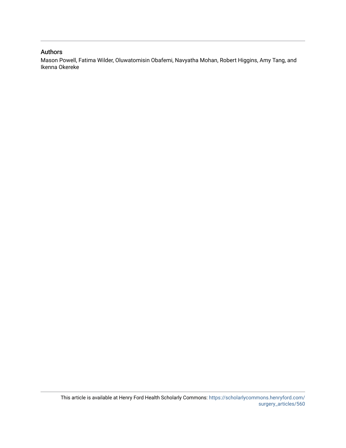### Authors

Mason Powell, Fatima Wilder, Oluwatomisin Obafemi, Navyatha Mohan, Robert Higgins, Amy Tang, and Ikenna Okereke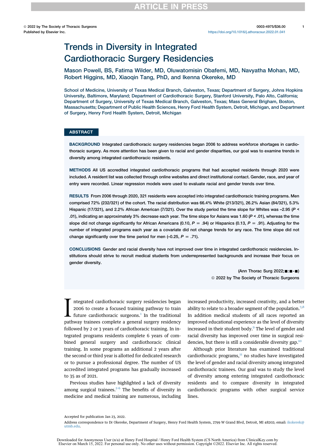1

## Trends in Diversity in Integrated Cardiothoracic Surgery Residencies

Mason Powell, BS, Fatima Wilder, MD, Oluwatomisin Obafemi, MD, Navyatha Mohan, MD, Robert Higgins, MD, Xiaoqin Tang, PhD, and Ikenna Okereke, MD

School of Medicine, University of Texas Medical Branch, Galveston, Texas; Department of Surgery, Johns Hopkins University, Baltimore, Maryland; Department of Cardiothoracic Surgery, Stanford University, Palo Alto, California; Department of Surgery, University of Texas Medical Branch, Galveston, Texas; Mass General Brigham, Boston, Massachusetts; Department of Public Health Sciences, Henry Ford Health System, Detroit, Michigan, and Department of Surgery, Henry Ford Health System, Detroit, Michigan

#### **ABSTRACT**

BACKGROUND Integrated cardiothoracic surgery residencies began 2006 to address workforce shortages in cardiothoracic surgery. As more attention has been given to racial and gender disparities, our goal was to examine trends in diversity among integrated cardiothoracic residents.

METHODS All US accredited integrated cardiothoracic programs that had accepted residents through 2020 were included. A resident list was collected through online websites and direct institutional contact. Gender, race, and year of entry were recorded. Linear regression models were used to evaluate racial and gender trends over time.

RESULTS From 2006 through 2020, 321 residents were accepted into integrated cardiothoracic training programs. Men comprised 72% (232/321) of the cohort. The racial distribution was 66.4% White (213/321), 26.2% Asian (84/321), 5.3% Hispanic (17/321), and 2.2% African American (7/321). Over the study period the time slope for Whites was –2.95 (P < .01), indicating an approximately 3% decrease each year. The time slope for Asians was 1.60 ( $P < .01$ ), whereas the time slope did not change significantly for African Americans (0.10,  $P = .94$ ) or Hispanics (0.13,  $P = .91$ ). Adjusting for the number of integrated programs each year as a covariate did not change trends for any race. The time slope did not change significantly over the time period for men  $(-0.25, P = .71)$ .

CONCLUSIONS Gender and racial diversity have not improved over time in integrated cardiothoracic residencies. Institutions should strive to recruit medical students from underrepresented backgrounds and increase their focus on gender diversity.

> (Ann Thorac Surg 2022; $\blacksquare$ : $\blacksquare$ - $\blacksquare$ ) <sup>©</sup> 2022 by The Society of Thoracic Surgeons

I ntegrated cardiothoracic surgery residencies began<br>2006 to create a focused training pathway to train<br>future cardiothoracic surgeons.<sup>1</sup> In the traditional<br>pathway trainees complete a general surgery residency ntegrated cardiothoracic surgery residencies began 2006 to create a focused training pathway to train future cardiothoracic surgeons.<sup>[1](#page-6-0)</sup> In the traditional followed by 2 or 3 years of cardiothoracic training. In integrated programs residents complete 6 years of combined general surgery and cardiothoracic clinical training. In some programs an additional 2 years after the second or third year is allotted for dedicated research or to pursue a professional degree. The number of US accredited integrated programs has gradually increased to 35 as of 2021.

Previous studies have highlighted a lack of diversity among surgical trainees. $2-6$  The benefits of diversity in medicine and medical training are numerous, including

increased productivity, increased creativity, and a better ability to relate to a broader segment of the population.<sup>7,[8](#page-6-3)</sup> In addition medical students of all races reported an improved educational experience as the level of diversity increased in their student body.<sup>[9](#page-6-4)</sup> The level of gender and racial diversity has improved over time in surgical residencies, but there is still a considerable diversity gap.<sup>10</sup>

Although prior literature has examined traditional cardiothoracic programs, $11$  no studies have investigated the level of gender and racial diversity among integrated cardiothoracic trainees. Our goal was to study the level of diversity among entering integrated cardiothoracic residents and to compare diversity in integrated cardiothoracic programs with other surgical service lines.

Accepted for publication Jan 23, 2022.

Address correspondence to Dr Okereke, Department of Surgery, Henry Ford Health System, 2799 W Grand Blvd, Detroit, MI 48202; email: [ikokerek@](mailto:ikokerek@utmb.edu) [utmb.edu](mailto:ikokerek@utmb.edu).

Downloaded for Anonymous User (n/a) at Henry Ford Hospital / Henry Ford Health System (CS North America) from ClinicalKey.com by Elsevier on March 15, 2022. For personal use only. No other uses without permission. Copyrigh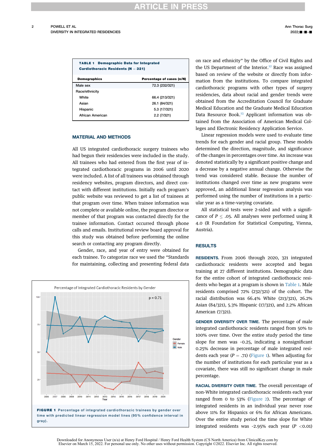POWELL ET AL DIVERSITY IN INTEGRATED RESIDENCIES

<span id="page-3-0"></span>

| <b>TABLE 1 Demographic Data for Integrated</b><br><b>Cardiothoracic Residents (N = 321)</b> |                           |
|---------------------------------------------------------------------------------------------|---------------------------|
| <b>Demographics</b>                                                                         | Percentage of cases (n/N) |
| Male sex                                                                                    | 72.3 (232/321)            |
| Race/ethnicity                                                                              |                           |
| White                                                                                       | 66.4 (213/321)            |
| Asian                                                                                       | 26.1 (84/321)             |
| Hispanic                                                                                    | 5.3 (17/321)              |
| African American                                                                            | 2.2(7/321)                |

#### MATERIAL AND METHODS

All US integrated cardiothoracic surgery trainees who had begun their residencies were included in the study. All trainees who had entered from the first year of integrated cardiothoracic programs in 2006 until 2020 were included. A list of all trainees was obtained through residency websites, program directors, and direct contact with different institutions. Initially each program's public website was reviewed to get a list of trainees at that program over time. When trainee information was not complete or available online, the program director or member of that program was contacted directly for the trainee information. Contact occurred through phone calls and emails. Institutional review board approval for this study was obtained before performing the online search or contacting any program directly.

Gender, race, and year of entry were obtained for each trainee. To categorize race we used the "Standards for maintaining, collecting and presenting federal data

<span id="page-3-1"></span>

on race and ethnicity" by the Office of Civil Rights and the US Department of the Interior.<sup>[12](#page-6-7)</sup> Race was assigned based on review of the website or directly from information from the institutions. To compare integrated cardiothoracic programs with other types of surgery residencies, data about racial and gender trends were obtained from the Accreditation Council for Graduate Medical Education and the Graduate Medical Education Data Resource Book.<sup>13</sup> Applicant information was obtained from the Association of American Medical Colleges and Electronic Residency Application Service.

Linear regression models were used to evaluate time trends for each gender and racial group. These models determined the direction, magnitude, and significance of the changes in percentages over time. An increase was denoted statistically by a significant positive change and a decrease by a negative annual change. Otherwise the trend was considered stable. Because the number of institutions changed over time as new programs were approved, an additional linear regression analysis was performed using the number of institutions in a particular year as a time-varying covariate.

All statistical tests were 2-sided and with a significance of  $P \leq .05$ . All analyses were performed using R 4.0 (R Foundation for Statistical Computing, Vienna, Austria).

#### **RESULTS**

RESIDENTS. From 2006 through 2020, 321 integrated cardiothoracic residents were accepted and began training at 27 different institutions. Demographic data for the entire cohort of integrated cardiothoracic residents who began at a program is shown in [Table 1.](#page-3-0) Male residents comprised 72% (232/321) of the cohort. The racial distribution was 66.4% White (213/321), 26.2% Asian (84/321), 5.3% Hispanic (17/321), and 2.2% African American (7/321).

GENDER DIVERSITY OVER TIME. The percentage of male integrated cardiothoracic residents ranged from 50% to 100% over time. Over the entire study period the time slope for men was –0.25, indicating a nonsignificant 0.25% decrease in percentage of male integrated residents each year ( $P = .71$ ) [\(Figure 1\)](#page-3-1). When adjusting for the number of institutions for each particular year as a covariate, there was still no significant change in male percentage.

RACIAL DIVERSITY OVER TIME. The overall percentage of non-White integrated cardiothoracic residents each year ranged from 0 to 53% ([Figure 2](#page-4-0)). The percentage of integrated residents in an individual year never rose above 11% for Hispanics or 6% for African Americans. Over the entire study period the time slope for White integrated residents was -2.95% each year ( $P < 0.01$ )

Downloaded for Anonymous User (n/a) at Henry Ford Hospital / Henry Ford Health System (CS North America) from ClinicalKey.com by Elsevier on March 15, 2022. For personal use only. No other uses without permission. Copyrigh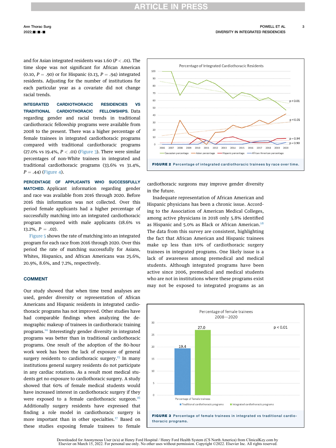## **ARTICLE IN PRESS**

3

and for Asian integrated residents was 1.60 ( $P <$  .01). The time slope was not significant for African American (0.10,  $P = .90$ ) or for Hispanic (0.13,  $P = .94$ ) integrated residents. Adjusting for the number of institutions for each particular year as a covariate did not change racial trends.

INTEGRATED CARDIOTHORACIC RESIDENCIES VS TRADITIONAL CARDIOTHORACIC FELLOWSHIPS. Data regarding gender and racial trends in traditional cardiothoracic fellowship programs were available from 2008 to the present. There was a higher percentage of female trainees in integrated cardiothoracic programs compared with traditional cardiothoracic programs (27.0% vs 19.4%,  $P < .01$ ) ([Figure 3](#page-4-1)). There were similar percentages of non-White trainees in integrated and traditional cardiothoracic programs (33.6% vs 31.4%,  $P = .44$ ) [\(Figure 4](#page-5-0)).

PERCENTAGE OF APPLICANTS WHO SUCCESSFULLY MATCHED. Applicant information regarding gender and race was available from 2016 through 2020. Before 2016 this information was not collected. Over this period female applicants had a higher percentage of successfully matching into an integrated cardiothoracic program compared with male applicants (18.6% vs 13.2%,  $P = .02$ ).

[Figure 5](#page-5-1) shows the rate of matching into an integrated program for each race from 2016 through 2020. Over this period the rate of matching successfully for Asians, Whites, Hispanics, and African Americans was 25.6%, 20.9%, 8.6%, and 7.2%, respectively.

#### COMMENT

Our study showed that when time trend analyses are used, gender diversity or representation of African Americans and Hispanic residents in integrated cardiothoracic programs has not improved. Other studies have had comparable findings when analyzing the demographic makeup of trainees in cardiothoracic training programs.[14](#page-6-9) Interestingly gender diversity in integrated programs was better than in traditional cardiothoracic programs. One result of the adoption of the 80-hour work week has been the lack of exposure of general surgery residents to cardiothoracic surgery.<sup>[15](#page-6-10)</sup> In many institutions general surgery residents do not participate in any cardiac rotations. As a result most medical students get no exposure to cardiothoracic surgery. A study showed that 60% of female medical students would have increased interest in cardiothoracic surgery if they were exposed to a female cardiothoracic surgeon.<sup>16</sup> Additionally surgery residents have expressed that finding a role model in cardiothoracic surgery is more important than in other specialties.<sup>[17](#page-6-12)</sup> Based on these studies exposing female trainees to female

<span id="page-4-0"></span>

cardiothoracic surgeons may improve gender diversity in the future.

Inadequate representation of African American and Hispanic physicians has been a chronic issue. According to the Association of American Medical Colleges, among active physicians in 2018 only 5.8% identified as Hispanic and 5.0% as Black or African American.<sup>[18](#page-6-13)</sup> The data from this survey are consistent, highlighting the fact that African American and Hispanic trainees make up less than 10% of cardiothoracic surgery trainees in integrated programs. One likely issue is a lack of awareness among premedical and medical students. Although integrated programs have been active since 2006, premedical and medical students who are not in institutions where these programs exist may not be exposed to integrated programs as an

<span id="page-4-1"></span>

Downloaded for Anonymous User (n/a) at Henry Ford Hospital / Henry Ford Health System (CS North America) from ClinicalKey.com by Elsevier on March 15, 2022. For personal use only. No other uses without permission. Copyrigh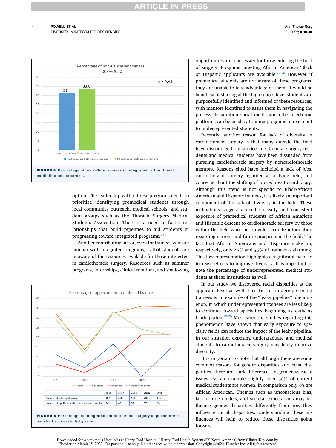## **ARTICLE IN PRESS**



<span id="page-5-0"></span>

option. The leadership within these programs needs to prioritize identifying premedical students through local community outreach, medical schools, and student groups such as the Thoracic Surgery Medical Students Association. There is a need to foster relationships that build pipelines to aid students in progressing toward integrated programs.<sup>[19](#page-6-14)</sup>

Another contributing factor, even for trainees who are familiar with integrated programs, is that students are unaware of the resources available for those interested in cardiothoracic surgery. Resources such as summer programs, internships, clinical rotations, and shadowing

<span id="page-5-1"></span>

opportunities are a necessity for those entering the field of surgery. Programs targeting African American/Black or Hispanic applicants are available.<sup>20-22</sup> However if premedical students are not aware of these programs, they are unable to take advantage of them. It would be beneficial if starting at the high school level students are purposefully identified and informed of these resources, with mentors identified to assist them in navigating the process. In addition social media and other electronic platforms can be used by training programs to reach out to underrepresented students.

Recently, another reason for lack of diversity in cardiothoracic surgery is that many outside the field have discouraged our service line. General surgery residents and medical students have been dissuaded from pursuing cardiothoracic surgery by noncardiothoracic mentors. Reasons cited have included a lack of jobs, cardiothoracic surgery regarded as a dying field, and concerns about the shifting of procedures to cardiology. Although this trend is not specific to Black/African American and Hispanic trainees, it is likely an important component of the lack of diversity in the field. These inclinations suggest a need for early and consistent exposure of premedical students of African American and Hispanic descent to cardiothoracic surgery by those within the field who can provide accurate information regarding current and future prospects in the field. The fact that African Americans and Hispanics make up, respectively, only 2.2% and 5.3% of trainees is alarming. This low representation highlights a significant need to increase efforts to improve diversity. It is important to note the percentage of underrepresented medical students at these institutions as well.

In our study we discovered racial disparities at the applicant level as well. This lack of underrepresented trainees is an example of the "leaky pipeline" phenomenon, in which underrepresented trainees are less likely to continue toward specialties beginning as early as kindergarten.<sup>23-26</sup> Most scientific studies regarding this phenomenon have shown that early exposure to specialty fields can reduce the impact of the leaky pipeline. In our situation exposing undergraduate and medical students to cardiothoracic surgery may likely improve diversity.

It is important to note that although there are some common reasons for gender disparities and racial disparities, there are stark differences in gender vs racial issues. As an example slightly over 50% of current medical students are women. In comparison only 3% are African American. Themes such as unconscious bias, lack of role models, and societal expectations may influence gender disparities differently from how they influence racial disparities. Understanding these influences will help to reduce these disparities going forward.

Downloaded for Anonymous User (n/a) at Henry Ford Hospital / Henry Ford Health System (CS North America) from ClinicalKey.com by Elsevier on March 15, 2022. For personal use only. No other uses without permission. Copyrigh